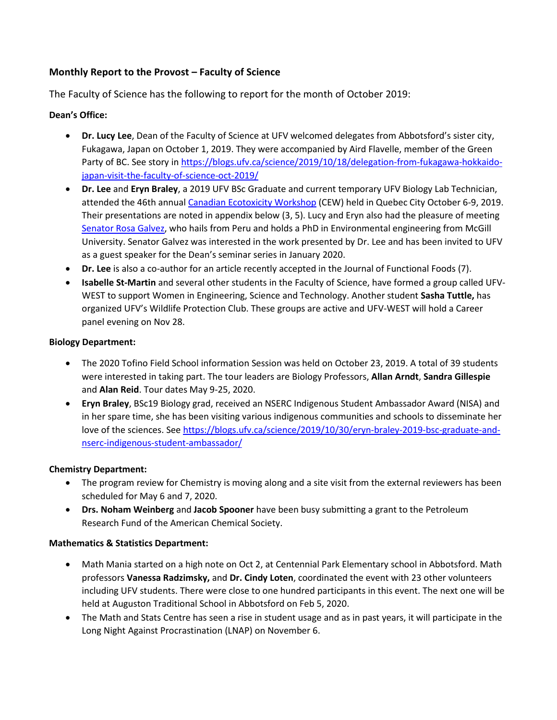# **Monthly Report to the Provost – Faculty of Science**

The Faculty of Science has the following to report for the month of October 2019:

## **Dean's Office:**

- **Dr. Lucy Lee**, Dean of the Faculty of Science at UFV welcomed delegates from Abbotsford's sister city, Fukagawa, Japan on October 1, 2019. They were accompanied by Aird Flavelle, member of the Green Party of BC. See story in [https://blogs.ufv.ca/science/2019/10/18/delegation-from-fukagawa-hokkaido](https://blogs.ufv.ca/science/2019/10/18/delegation-from-fukagawa-hokkaido-japan-visit-the-faculty-of-science-oct-2019/)[japan-visit-the-faculty-of-science-oct-2019/](https://blogs.ufv.ca/science/2019/10/18/delegation-from-fukagawa-hokkaido-japan-visit-the-faculty-of-science-oct-2019/)
- **Dr. Lee** and **Eryn Braley**, a 2019 UFV BSc Graduate and current temporary UFV Biology Lab Technician, attended the 46th annual [Canadian Ecotoxicity Workshop](https://ecotoxcan.ca/) (CEW) held in Quebec City October 6-9, 2019. Their presentations are noted in appendix below (3, 5). Lucy and Eryn also had the pleasure of meeting [Senator Rosa Galvez,](https://sencanada.ca/en/senators/galvez-rosa/) who hails from Peru and holds a PhD in Environmental engineering from McGill University. Senator Galvez was interested in the work presented by Dr. Lee and has been invited to UFV as a guest speaker for the Dean's seminar series in January 2020.
- **Dr. Lee** is also a co-author for an article recently accepted in the Journal of Functional Foods (7).
- **Isabelle St-Martin** and several other students in the Faculty of Science, have formed a group called UFV-WEST to support Women in Engineering, Science and Technology. Another student **Sasha Tuttle,** has organized UFV's Wildlife Protection Club. These groups are active and UFV-WEST will hold a Career panel evening on Nov 28.

### **Biology Department:**

- The 2020 Tofino Field School information Session was held on October 23, 2019. A total of 39 students were interested in taking part. The tour leaders are Biology Professors, **Allan Arndt**, **Sandra Gillespie** and **Alan Reid**. Tour dates May 9-25, 2020.
- **Eryn Braley**, BSc19 Biology grad, received an NSERC Indigenous Student Ambassador Award (NISA) and in her spare time, she has been visiting various indigenous communities and schools to disseminate her love of the sciences. See [https://blogs.ufv.ca/science/2019/10/30/eryn-braley-2019-bsc-graduate-and](https://blogs.ufv.ca/science/2019/10/30/eryn-braley-2019-bsc-graduate-and-nserc-indigenous-student-ambassador/)[nserc-indigenous-student-ambassador/](https://blogs.ufv.ca/science/2019/10/30/eryn-braley-2019-bsc-graduate-and-nserc-indigenous-student-ambassador/)

### **Chemistry Department:**

- The program review for Chemistry is moving along and a site visit from the external reviewers has been scheduled for May 6 and 7, 2020.
- **Drs. Noham Weinberg** and **Jacob Spooner** have been busy submitting a grant to the Petroleum Research Fund of the American Chemical Society.

#### **Mathematics & Statistics Department:**

- Math Mania started on a high note on Oct 2, at Centennial Park Elementary school in Abbotsford. Math professors **Vanessa Radzimsky,** and **Dr. Cindy Loten**, coordinated the event with 23 other volunteers including UFV students. There were close to one hundred participants in this event. The next one will be held at Auguston Traditional School in Abbotsford on Feb 5, 2020.
- The Math and Stats Centre has seen a rise in student usage and as in past years, it will participate in the Long Night Against Procrastination (LNAP) on November 6.